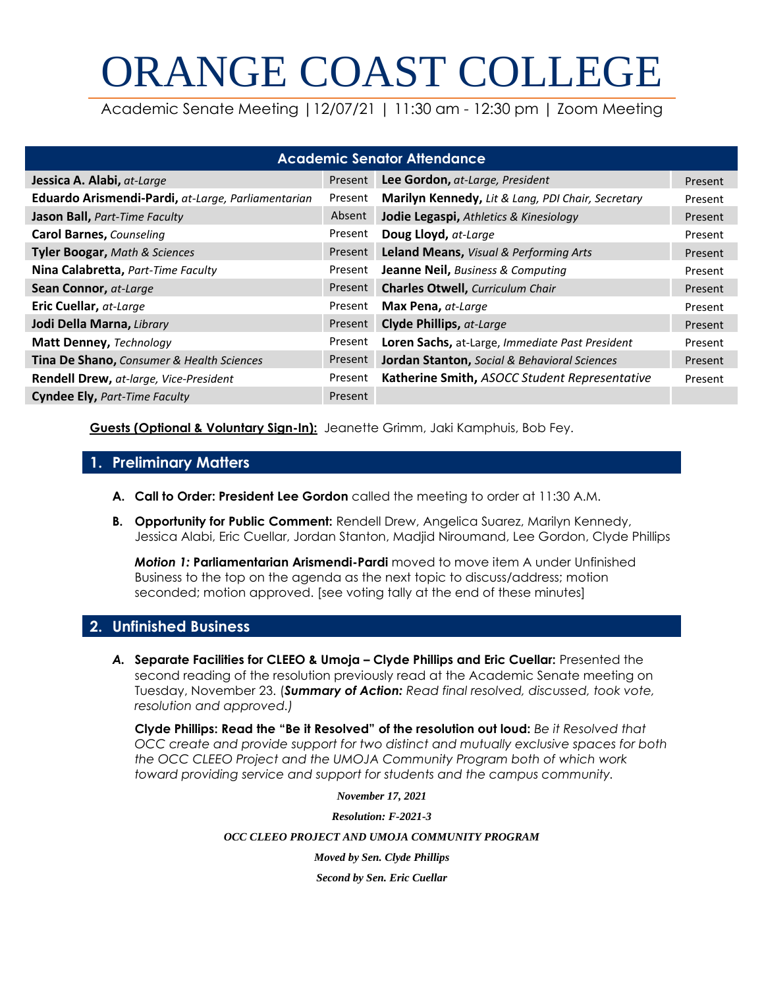# ORANGE COAST COLLEGE

Academic Senate Meeting |12/07/21 | 11:30 am - 12:30 pm | Zoom Meeting

| <b>Academic Senator Attendance</b>                 |         |                                                   |         |  |  |  |  |
|----------------------------------------------------|---------|---------------------------------------------------|---------|--|--|--|--|
| Jessica A. Alabi, at-Large                         | Present | Lee Gordon, at-Large, President                   | Present |  |  |  |  |
| Eduardo Arismendi-Pardi, at-Large, Parliamentarian | Present | Marilyn Kennedy, Lit & Lang, PDI Chair, Secretary | Present |  |  |  |  |
| <b>Jason Ball, Part-Time Faculty</b>               | Absent  | Jodie Legaspi, Athletics & Kinesiology            | Present |  |  |  |  |
| <b>Carol Barnes, Counseling</b>                    | Present | Doug Lloyd, at-Large                              | Present |  |  |  |  |
| <b>Tyler Boogar, Math &amp; Sciences</b>           | Present | Leland Means, Visual & Performing Arts            | Present |  |  |  |  |
| Nina Calabretta, Part-Time Faculty                 | Present | Jeanne Neil, Business & Computing                 | Present |  |  |  |  |
| Sean Connor, at-Large                              | Present | <b>Charles Otwell, Curriculum Chair</b>           | Present |  |  |  |  |
| Eric Cuellar, at-Large                             | Present | Max Pena, at-Large                                | Present |  |  |  |  |
| Jodi Della Marna, Library                          | Present | <b>Clyde Phillips, at-Large</b>                   | Present |  |  |  |  |
| Matt Denney, Technology                            | Present | Loren Sachs, at-Large, Immediate Past President   | Present |  |  |  |  |
| Tina De Shano, Consumer & Health Sciences          | Present | Jordan Stanton, Social & Behavioral Sciences      | Present |  |  |  |  |
| Rendell Drew, at-large, Vice-President             | Present | Katherine Smith, ASOCC Student Representative     | Present |  |  |  |  |
| <b>Cyndee Ely, Part-Time Faculty</b>               | Present |                                                   |         |  |  |  |  |

**Guests (Optional & Voluntary Sign-In):** Jeanette Grimm, Jaki Kamphuis, Bob Fey.

## **1. Preliminary Matters**

- **A. Call to Order: President Lee Gordon** called the meeting to order at 11:30 A.M.
- **B. Opportunity for Public Comment:** Rendell Drew, Angelica Suarez, Marilyn Kennedy, Jessica Alabi, Eric Cuellar, Jordan Stanton, Madjid Niroumand, Lee Gordon, Clyde Phillips

*Motion 1:* **Parliamentarian Arismendi-Pardi** moved to move item A under Unfinished Business to the top on the agenda as the next topic to discuss/address; motion seconded; motion approved. [see voting tally at the end of these minutes]

# **2. Unfinished Business**

*A.* **Separate Facilities for CLEEO & Umoja – Clyde Phillips and Eric Cuellar:** Presented the second reading of the resolution previously read at the Academic Senate meeting on Tuesday, November 23. (*Summary of Action: Read final resolved, discussed, took vote, resolution and approved.)*

**Clyde Phillips: Read the "Be it Resolved" of the resolution out loud:** *Be it Resolved that OCC create and provide support for two distinct and mutually exclusive spaces for both the OCC CLEEO Project and the UMOJA Community Program both of which work toward providing service and support for students and the campus community.*

*November 17, 2021*

*Resolution: F-2021-3*

#### *OCC CLEEO PROJECT AND UMOJA COMMUNITY PROGRAM*

*Moved by Sen. Clyde Phillips*

*Second by Sen. Eric Cuellar*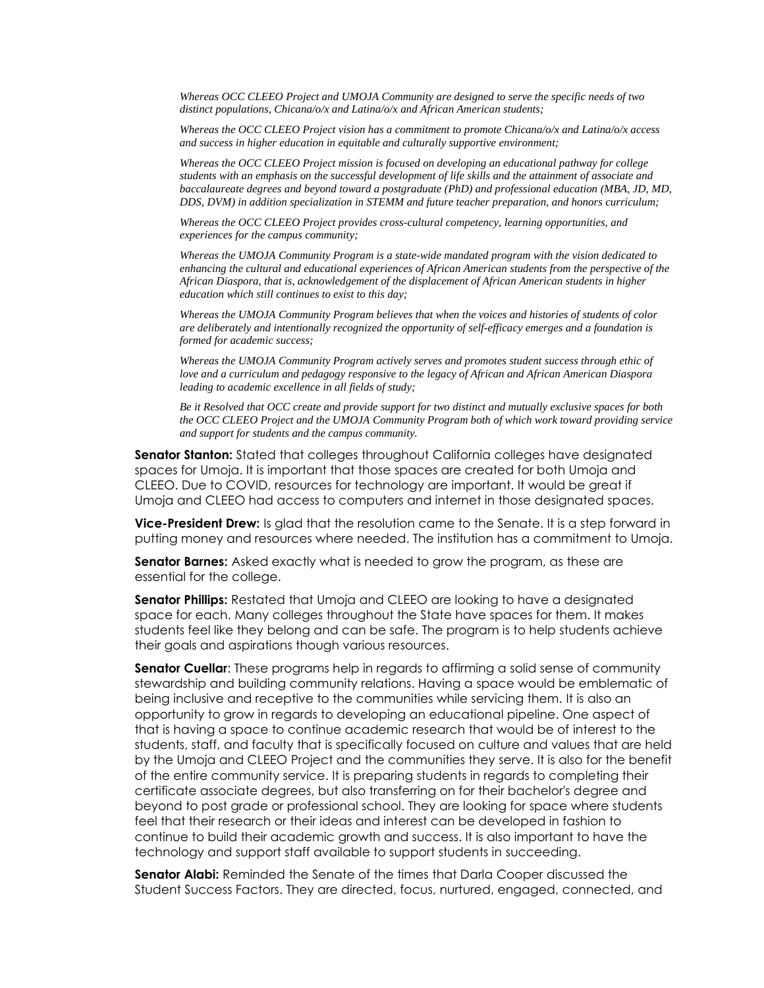*Whereas OCC CLEEO Project and UMOJA Community are designed to serve the specific needs of two distinct populations, Chicana/o/x and Latina/o/x and African American students;*

*Whereas the OCC CLEEO Project vision has a commitment to promote Chicana/o/x and Latina/o/x access and success in higher education in equitable and culturally supportive environment;*

*Whereas the OCC CLEEO Project mission is focused on developing an educational pathway for college* students with an emphasis on the successful development of life skills and the attainment of associate and *baccalaureate degrees and beyond toward a postgraduate (PhD) and professional education (MBA, JD, MD, DDS, DVM) in addition specialization in STEMM and future teacher preparation, and honors curriculum;*

*Whereas the OCC CLEEO Project provides cross-cultural competency, learning opportunities, and experiences for the campus community;*

*Whereas the UMOJA Community Program is a state-wide mandated program with the vision dedicated to enhancing the cultural and educational experiences of African American students from the perspective of the African Diaspora, that is, acknowledgement of the displacement of African American students in higher education which still continues to exist to this day;*

*Whereas the UMOJA Community Program believes that when the voices and histories of students of color are deliberately and intentionally recognized the opportunity of self-efficacy emerges and a foundation is formed for academic success;*

*Whereas the UMOJA Community Program actively serves and promotes student success through ethic of love and a curriculum and pedagogy responsive to the legacy of African and African American Diaspora leading to academic excellence in all fields of study;*

Be it Resolved that OCC create and provide support for two distinct and mutually exclusive spaces for both *the OCC CLEEO Project and the UMOJA Community Program both of which work toward providing service and support for students and the campus community.*

**Senator Stanton:** Stated that colleges throughout California colleges have designated spaces for Umoja. It is important that those spaces are created for both Umoja and CLEEO. Due to COVID, resources for technology are important. It would be great if Umoja and CLEEO had access to computers and internet in those designated spaces.

**Vice-President Drew:** Is glad that the resolution came to the Senate. It is a step forward in putting money and resources where needed. The institution has a commitment to Umoja.

**Senator Barnes:** Asked exactly what is needed to grow the program, as these are essential for the college.

**Senator Phillips:** Restated that Umoja and CLEEO are looking to have a designated space for each. Many colleges throughout the State have spaces for them. It makes students feel like they belong and can be safe. The program is to help students achieve their goals and aspirations though various resources.

**Senator Cuellar**: These programs help in regards to affirming a solid sense of community stewardship and building community relations. Having a space would be emblematic of being inclusive and receptive to the communities while servicing them. It is also an opportunity to grow in regards to developing an educational pipeline. One aspect of that is having a space to continue academic research that would be of interest to the students, staff, and faculty that is specifically focused on culture and values that are held by the Umoja and CLEEO Project and the communities they serve. It is also for the benefit of the entire community service. It is preparing students in regards to completing their certificate associate degrees, but also transferring on for their bachelor's degree and beyond to post grade or professional school. They are looking for space where students feel that their research or their ideas and interest can be developed in fashion to continue to build their academic growth and success. It is also important to have the technology and support staff available to support students in succeeding.

**Senator Alabi:** Reminded the Senate of the times that Darla Cooper discussed the Student Success Factors. They are directed, focus, nurtured, engaged, connected, and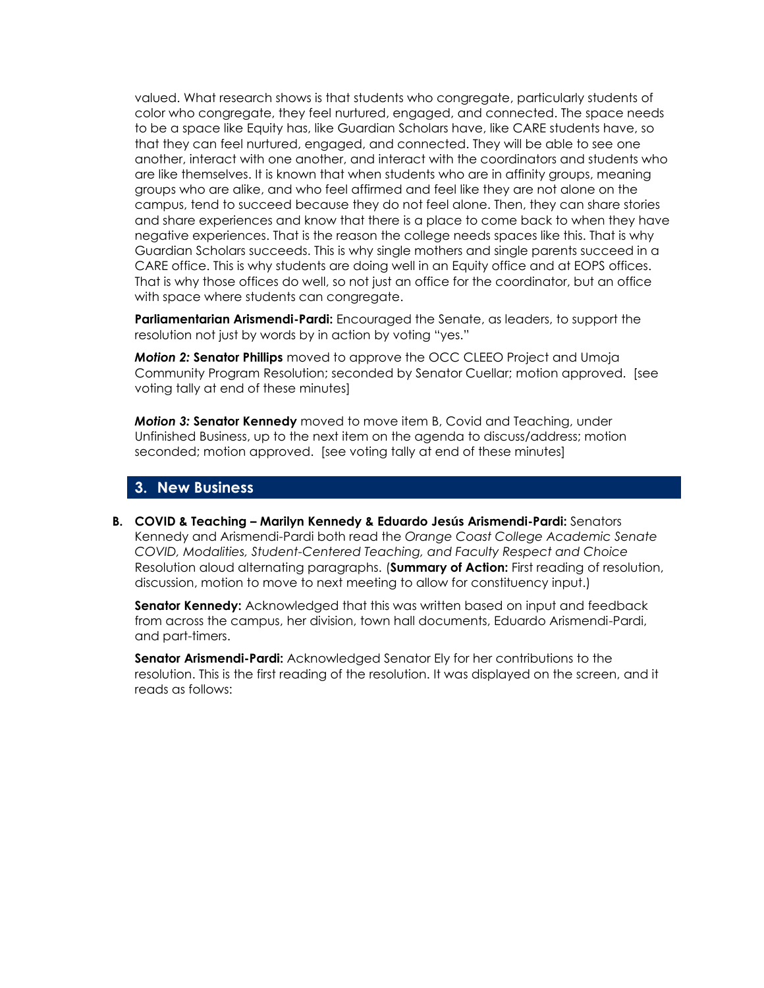valued. What research shows is that students who congregate, particularly students of color who congregate, they feel nurtured, engaged, and connected. The space needs to be a space like Equity has, like Guardian Scholars have, like CARE students have, so that they can feel nurtured, engaged, and connected. They will be able to see one another, interact with one another, and interact with the coordinators and students who are like themselves. It is known that when students who are in affinity groups, meaning groups who are alike, and who feel affirmed and feel like they are not alone on the campus, tend to succeed because they do not feel alone. Then, they can share stories and share experiences and know that there is a place to come back to when they have negative experiences. That is the reason the college needs spaces like this. That is why Guardian Scholars succeeds. This is why single mothers and single parents succeed in a CARE office. This is why students are doing well in an Equity office and at EOPS offices. That is why those offices do well, so not just an office for the coordinator, but an office with space where students can congregate.

**Parliamentarian Arismendi-Pardi:** Encouraged the Senate, as leaders, to support the resolution not just by words by in action by voting "yes."

*Motion 2:* **Senator Phillips** moved to approve the OCC CLEEO Project and Umoja Community Program Resolution; seconded by Senator Cuellar; motion approved. [see voting tally at end of these minutes]

*Motion 3:* **Senator Kennedy** moved to move item B, Covid and Teaching, under Unfinished Business, up to the next item on the agenda to discuss/address; motion seconded; motion approved. [see voting tally at end of these minutes]

### **3. New Business**

**B. COVID & Teaching – Marilyn Kennedy & Eduardo Jesús Arismendi-Pardi:** Senators Kennedy and Arismendi-Pardi both read the *Orange Coast College Academic Senate COVID, Modalities, Student-Centered Teaching, and Faculty Respect and Choice*  Resolution aloud alternating paragraphs. (**Summary of Action:** First reading of resolution, discussion, motion to move to next meeting to allow for constituency input.)

**Senator Kennedy:** Acknowledged that this was written based on input and feedback from across the campus, her division, town hall documents, Eduardo Arismendi-Pardi, and part-timers.

**Senator Arismendi-Pardi:** Acknowledged Senator Ely for her contributions to the resolution. This is the first reading of the resolution. It was displayed on the screen, and it reads as follows: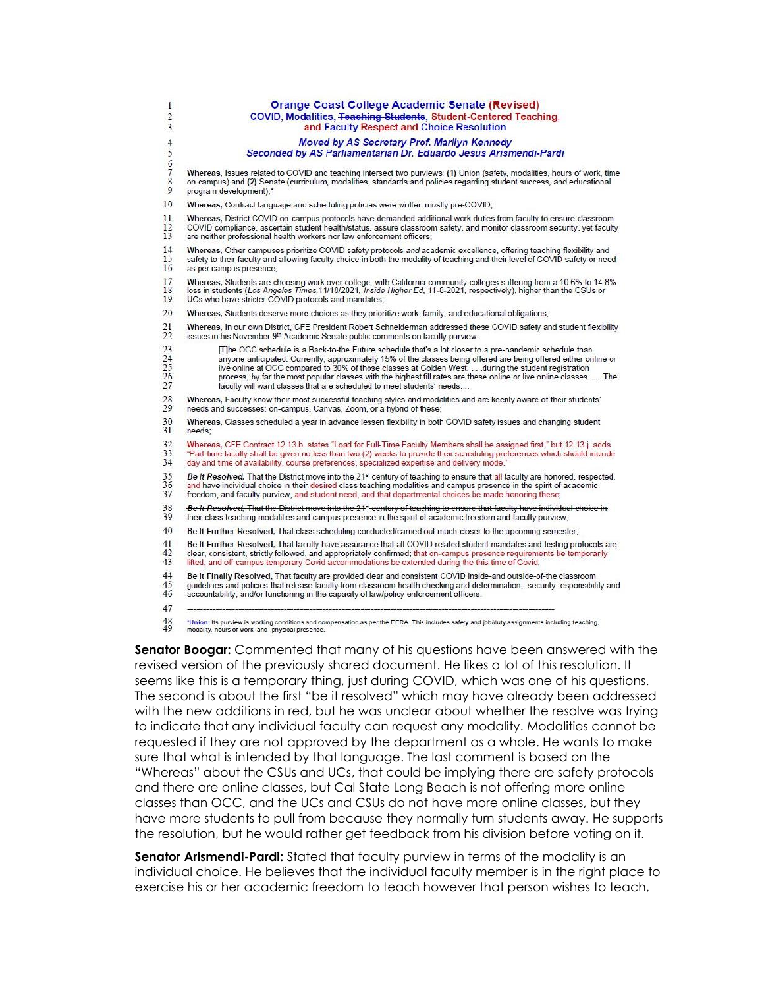| 1                                 | <b>Orange Coast College Academic Senate (Revised)</b>                                                                                                                                                                                                                                                                                                                                                                                                                                                                       |
|-----------------------------------|-----------------------------------------------------------------------------------------------------------------------------------------------------------------------------------------------------------------------------------------------------------------------------------------------------------------------------------------------------------------------------------------------------------------------------------------------------------------------------------------------------------------------------|
| $\overline{c}$                    | COVID, Modalities, Teaching Students, Student-Centered Teaching,                                                                                                                                                                                                                                                                                                                                                                                                                                                            |
| 3                                 | and Faculty Respect and Choice Resolution                                                                                                                                                                                                                                                                                                                                                                                                                                                                                   |
| $\overline{4}$                    | Moved by AS Secretary Prof. Marilyn Kennedy                                                                                                                                                                                                                                                                                                                                                                                                                                                                                 |
| 5                                 | Seconded by AS Parliamentarian Dr. Eduardo Jesús Arismendi-Pardi                                                                                                                                                                                                                                                                                                                                                                                                                                                            |
| $\frac{6}{7}$                     | Whereas, Issues related to COVID and teaching intersect two purviews: (1) Union (safety, modalities, hours of work, time                                                                                                                                                                                                                                                                                                                                                                                                    |
| $\bf 8$                           | on campus) and (2) Senate (curriculum, modalities, standards and policies regarding student success, and educational                                                                                                                                                                                                                                                                                                                                                                                                        |
| 9                                 | program development);*                                                                                                                                                                                                                                                                                                                                                                                                                                                                                                      |
| 10                                | Whereas, Contract language and scheduling policies were written mostly pre-COVID;                                                                                                                                                                                                                                                                                                                                                                                                                                           |
| 11                                | Whereas, District COVID on-campus protocols have demanded additional work duties from faculty to ensure classroom                                                                                                                                                                                                                                                                                                                                                                                                           |
| 12                                | COVID compliance, ascertain student health/status, assure classroom safety, and monitor classroom security, yet faculty                                                                                                                                                                                                                                                                                                                                                                                                     |
| 13                                | are neither professional health workers nor law enforcement officers;                                                                                                                                                                                                                                                                                                                                                                                                                                                       |
| 14                                | Whereas, Other campuses prioritize COVID safety protocols and academic excellence, offering teaching flexibility and                                                                                                                                                                                                                                                                                                                                                                                                        |
| 15                                | safety to their faculty and allowing faculty choice in both the modality of teaching and their level of COVID safety or need                                                                                                                                                                                                                                                                                                                                                                                                |
| 16                                | as per campus presence;                                                                                                                                                                                                                                                                                                                                                                                                                                                                                                     |
| 17                                | Whereas, Students are choosing work over college, with California community colleges suffering from a 10.6% to 14.8%                                                                                                                                                                                                                                                                                                                                                                                                        |
| 18                                | loss in students (Los Angeles Times, 11/18/2021, Inside Higher Ed, 11-8-2021, respectively), higher than the CSUs or                                                                                                                                                                                                                                                                                                                                                                                                        |
| 19                                | UCs who have stricter COVID protocols and mandates;                                                                                                                                                                                                                                                                                                                                                                                                                                                                         |
| 20                                | Whereas, Students deserve more choices as they prioritize work, family, and educational obligations;                                                                                                                                                                                                                                                                                                                                                                                                                        |
| 21                                | Whereas, In our own District, CFE President Robert Schneiderman addressed these COVID safety and student flexibility                                                                                                                                                                                                                                                                                                                                                                                                        |
| 22                                | issues in his November 9th Academic Senate public comments on faculty purview:                                                                                                                                                                                                                                                                                                                                                                                                                                              |
| 23<br>$\frac{24}{25}$<br>25<br>27 | [The OCC schedule is a Back-to-the Future schedule that's a lot closer to a pre-pandemic schedule than<br>anyone anticipated. Currently, approximately 15% of the classes being offered are being offered either online or<br>live online at OCC compared to 30% of those classes at Golden West during the student registration<br>process, by far the most popular classes with the highest fill rates are these online or live online classesThe<br>faculty will want classes that are scheduled to meet students' needs |
| 28                                | Whereas, Faculty know their most successful teaching styles and modalities and are keenly aware of their students'                                                                                                                                                                                                                                                                                                                                                                                                          |
| 29                                | needs and successes: on-campus, Canvas, Zoom, or a hybrid of these;                                                                                                                                                                                                                                                                                                                                                                                                                                                         |
| 30                                | Whereas, Classes scheduled a year in advance lessen flexibility in both COVID safety issues and changing student                                                                                                                                                                                                                                                                                                                                                                                                            |
| 31                                | needs:                                                                                                                                                                                                                                                                                                                                                                                                                                                                                                                      |
| 32                                | Whereas, CFE Contract 12.13.b. states "Load for Full-Time Faculty Members shall be assigned first," but 12.13.j. adds                                                                                                                                                                                                                                                                                                                                                                                                       |
| 33                                | "Part-time faculty shall be given no less than two (2) weeks to provide their scheduling preferences which should include                                                                                                                                                                                                                                                                                                                                                                                                   |
| 34                                | day and time of availability, course preferences, specialized expertise and delivery mode."                                                                                                                                                                                                                                                                                                                                                                                                                                 |
| 35                                | Be It Resolved, That the District move into the 21 <sup>st</sup> century of teaching to ensure that all faculty are honored, respected,                                                                                                                                                                                                                                                                                                                                                                                     |
| 36                                | and have individual choice in their desired class teaching modalities and campus presence in the spirit of academic                                                                                                                                                                                                                                                                                                                                                                                                         |
| 37                                | freedom, and faculty purview, and student need, and that departmental choices be made honoring these;                                                                                                                                                                                                                                                                                                                                                                                                                       |
| 38                                | Be It Resolved. That the District move into the 21 <sup>et</sup> century of teaching to ensure that faculty have individual choice in                                                                                                                                                                                                                                                                                                                                                                                       |
| 39                                | their class teaching modalities and campus presence in the spirit of academic freedom and faculty purview.                                                                                                                                                                                                                                                                                                                                                                                                                  |
| 40                                | Be It Further Resolved, That class scheduling conducted/carried out much closer to the upcoming semester;                                                                                                                                                                                                                                                                                                                                                                                                                   |
| 41                                | Be It Further Resolved, That faculty have assurance that all COVID-related student mandates and testing protocols are                                                                                                                                                                                                                                                                                                                                                                                                       |
| 42                                | clear, consistent, strictly followed, and appropriately confirmed; that on-campus presence requirements be temporarily                                                                                                                                                                                                                                                                                                                                                                                                      |
| 43                                | lifted, and off-campus temporary Covid accommodations be extended during the this time of Covid;                                                                                                                                                                                                                                                                                                                                                                                                                            |
| 44                                | Be It Finally Resolved, That faculty are provided clear and consistent COVID inside-and outside-of-the classroom                                                                                                                                                                                                                                                                                                                                                                                                            |
| 45                                | quidelines and policies that release faculty from classroom health checking and determination, security responsibility and                                                                                                                                                                                                                                                                                                                                                                                                  |
| 46                                | accountability, and/or functioning in the capacity of law/policy enforcement officers.                                                                                                                                                                                                                                                                                                                                                                                                                                      |
| 47                                |                                                                                                                                                                                                                                                                                                                                                                                                                                                                                                                             |
| 48                                | *Union: Its purview is working conditions and compensation as per the EERA. This includes safety and job/duty assignments including teaching,<br>modality, hours of work, and "physical presence."                                                                                                                                                                                                                                                                                                                          |

**Senator Boogar:** Commented that many of his questions have been answered with the revised version of the previously shared document. He likes a lot of this resolution. It seems like this is a temporary thing, just during COVID, which was one of his questions. The second is about the first "be it resolved" which may have already been addressed with the new additions in red, but he was unclear about whether the resolve was trying to indicate that any individual faculty can request any modality. Modalities cannot be requested if they are not approved by the department as a whole. He wants to make sure that what is intended by that language. The last comment is based on the "Whereas" about the CSUs and UCs, that could be implying there are safety protocols and there are online classes, but Cal State Long Beach is not offering more online classes than OCC, and the UCs and CSUs do not have more online classes, but they have more students to pull from because they normally turn students away. He supports the resolution, but he would rather get feedback from his division before voting on it.

**Senator Arismendi-Pardi:** Stated that faculty purview in terms of the modality is an individual choice. He believes that the individual faculty member is in the right place to exercise his or her academic freedom to teach however that person wishes to teach,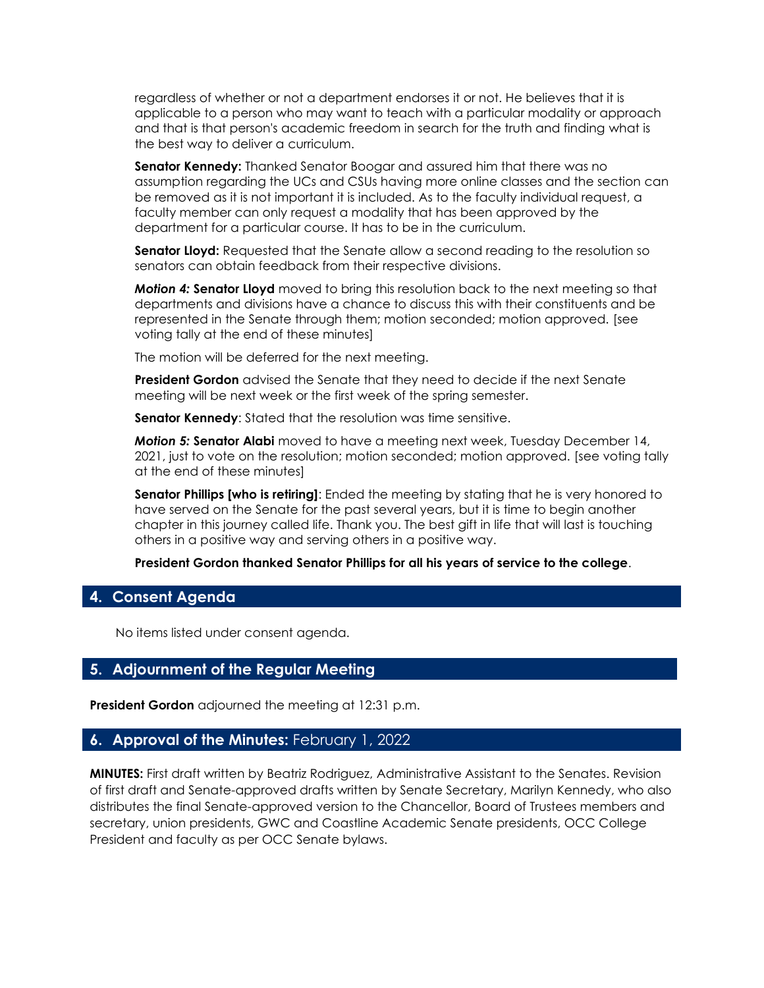regardless of whether or not a department endorses it or not. He believes that it is applicable to a person who may want to teach with a particular modality or approach and that is that person's academic freedom in search for the truth and finding what is the best way to deliver a curriculum.

**Senator Kennedy:** Thanked Senator Boogar and assured him that there was no assumption regarding the UCs and CSUs having more online classes and the section can be removed as it is not important it is included. As to the faculty individual request, a faculty member can only request a modality that has been approved by the department for a particular course. It has to be in the curriculum.

**Senator Lloyd:** Requested that the Senate allow a second reading to the resolution so senators can obtain feedback from their respective divisions.

*Motion 4:* **Senator Lloyd** moved to bring this resolution back to the next meeting so that departments and divisions have a chance to discuss this with their constituents and be represented in the Senate through them; motion seconded; motion approved. [see voting tally at the end of these minutes]

The motion will be deferred for the next meeting.

**President Gordon** advised the Senate that they need to decide if the next Senate meeting will be next week or the first week of the spring semester.

**Senator Kennedy:** Stated that the resolution was time sensitive.

*Motion 5:* **Senator Alabi** moved to have a meeting next week, Tuesday December 14, 2021, just to vote on the resolution; motion seconded; motion approved. [see voting tally at the end of these minutes]

**Senator Phillips [who is retiring]**: Ended the meeting by stating that he is very honored to have served on the Senate for the past several years, but it is time to begin another chapter in this journey called life. Thank you. The best gift in life that will last is touching others in a positive way and serving others in a positive way.

**President Gordon thanked Senator Phillips for all his years of service to the college**.

### **4. Consent Agenda**

No items listed under consent agenda.

#### **5. Adjournment of the Regular Meeting**

**President Gordon** adjourned the meeting at 12:31 p.m.

#### **6. Approval of the Minutes:** February 1, 2022

**MINUTES:** First draft written by Beatriz Rodriguez, Administrative Assistant to the Senates. Revision of first draft and Senate-approved drafts written by Senate Secretary, Marilyn Kennedy, who also distributes the final Senate-approved version to the Chancellor, Board of Trustees members and secretary, union presidents, GWC and Coastline Academic Senate presidents, OCC College President and faculty as per OCC Senate bylaws.